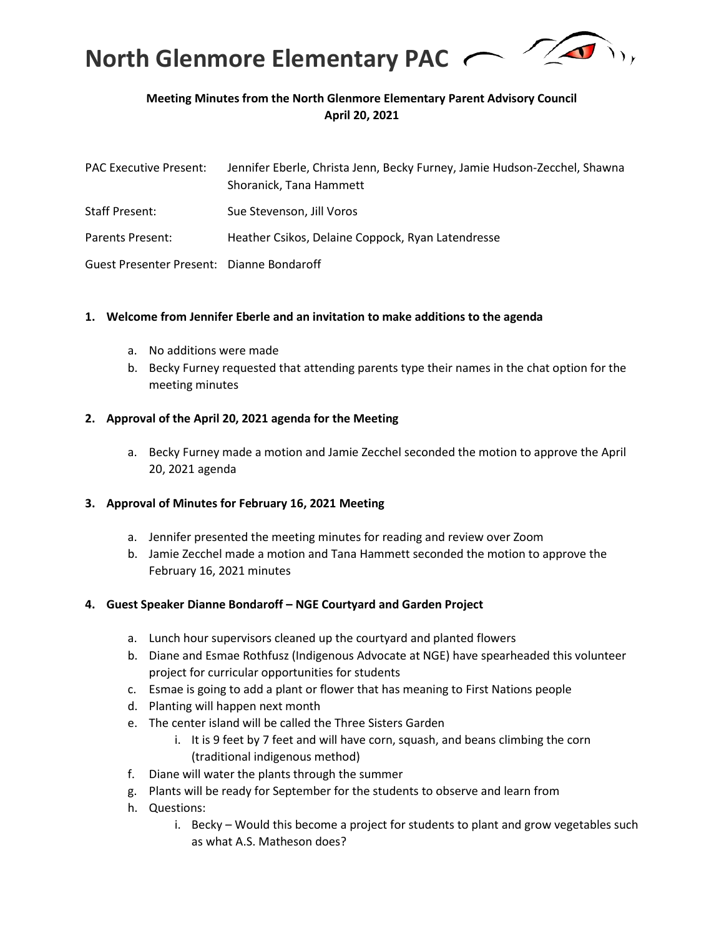

# **Meeting Minutes from the North Glenmore Elementary Parent Advisory Council April 20, 2021**

| <b>PAC Executive Present:</b>             | Jennifer Eberle, Christa Jenn, Becky Furney, Jamie Hudson-Zecchel, Shawna<br>Shoranick, Tana Hammett |
|-------------------------------------------|------------------------------------------------------------------------------------------------------|
| Staff Present:                            | Sue Stevenson, Jill Voros                                                                            |
| Parents Present:                          | Heather Csikos, Delaine Coppock, Ryan Latendresse                                                    |
| Guest Presenter Present: Dianne Bondaroff |                                                                                                      |

#### **1. Welcome from Jennifer Eberle and an invitation to make additions to the agenda**

- a. No additions were made
- b. Becky Furney requested that attending parents type their names in the chat option for the meeting minutes

#### **2. Approval of the April 20, 2021 agenda for the Meeting**

a. Becky Furney made a motion and Jamie Zecchel seconded the motion to approve the April 20, 2021 agenda

### **3. Approval of Minutes for February 16, 2021 Meeting**

- a. Jennifer presented the meeting minutes for reading and review over Zoom
- b. Jamie Zecchel made a motion and Tana Hammett seconded the motion to approve the February 16, 2021 minutes

### **4. Guest Speaker Dianne Bondaroff – NGE Courtyard and Garden Project**

- a. Lunch hour supervisors cleaned up the courtyard and planted flowers
- b. Diane and Esmae Rothfusz (Indigenous Advocate at NGE) have spearheaded this volunteer project for curricular opportunities for students
- c. Esmae is going to add a plant or flower that has meaning to First Nations people
- d. Planting will happen next month
- e. The center island will be called the Three Sisters Garden
	- i. It is 9 feet by 7 feet and will have corn, squash, and beans climbing the corn (traditional indigenous method)
- f. Diane will water the plants through the summer
- g. Plants will be ready for September for the students to observe and learn from
- h. Questions:
	- i. Becky Would this become a project for students to plant and grow vegetables such as what A.S. Matheson does?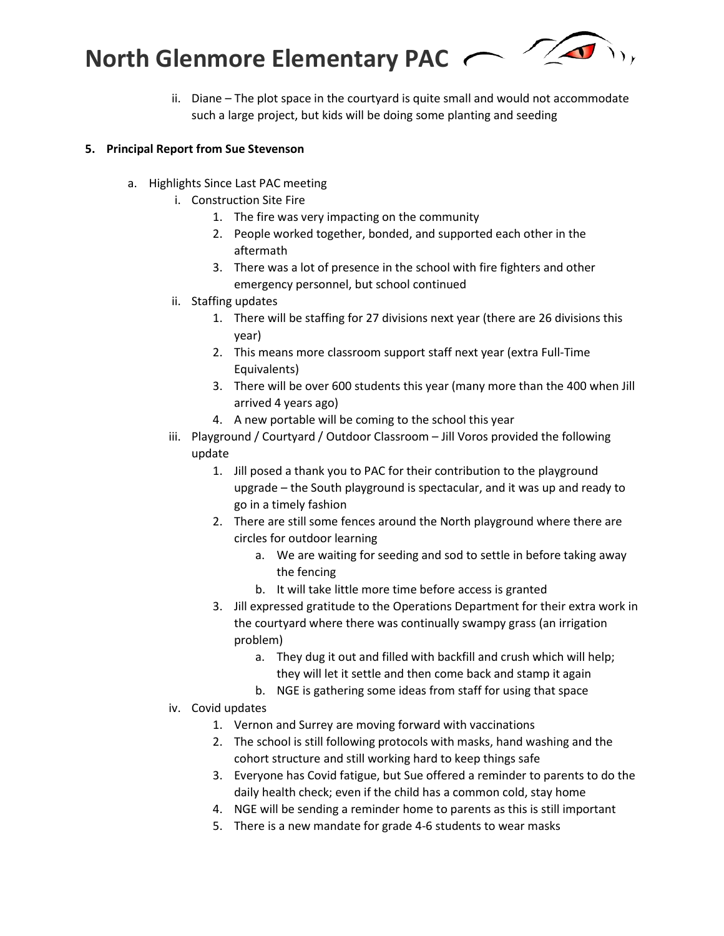

ii. Diane – The plot space in the courtyard is quite small and would not accommodate such a large project, but kids will be doing some planting and seeding

# **5. Principal Report from Sue Stevenson**

- a. Highlights Since Last PAC meeting
	- i. Construction Site Fire
		- 1. The fire was very impacting on the community
		- 2. People worked together, bonded, and supported each other in the aftermath
		- 3. There was a lot of presence in the school with fire fighters and other emergency personnel, but school continued
	- ii. Staffing updates
		- 1. There will be staffing for 27 divisions next year (there are 26 divisions this year)
		- 2. This means more classroom support staff next year (extra Full-Time Equivalents)
		- 3. There will be over 600 students this year (many more than the 400 when Jill arrived 4 years ago)
		- 4. A new portable will be coming to the school this year
	- iii. Playground / Courtyard / Outdoor Classroom Jill Voros provided the following update
		- 1. Jill posed a thank you to PAC for their contribution to the playground upgrade – the South playground is spectacular, and it was up and ready to go in a timely fashion
		- 2. There are still some fences around the North playground where there are circles for outdoor learning
			- a. We are waiting for seeding and sod to settle in before taking away the fencing
			- b. It will take little more time before access is granted
		- 3. Jill expressed gratitude to the Operations Department for their extra work in the courtyard where there was continually swampy grass (an irrigation problem)
			- a. They dug it out and filled with backfill and crush which will help; they will let it settle and then come back and stamp it again
			- b. NGE is gathering some ideas from staff for using that space
	- iv. Covid updates
		- 1. Vernon and Surrey are moving forward with vaccinations
		- 2. The school is still following protocols with masks, hand washing and the cohort structure and still working hard to keep things safe
		- 3. Everyone has Covid fatigue, but Sue offered a reminder to parents to do the daily health check; even if the child has a common cold, stay home
		- 4. NGE will be sending a reminder home to parents as this is still important
		- 5. There is a new mandate for grade 4-6 students to wear masks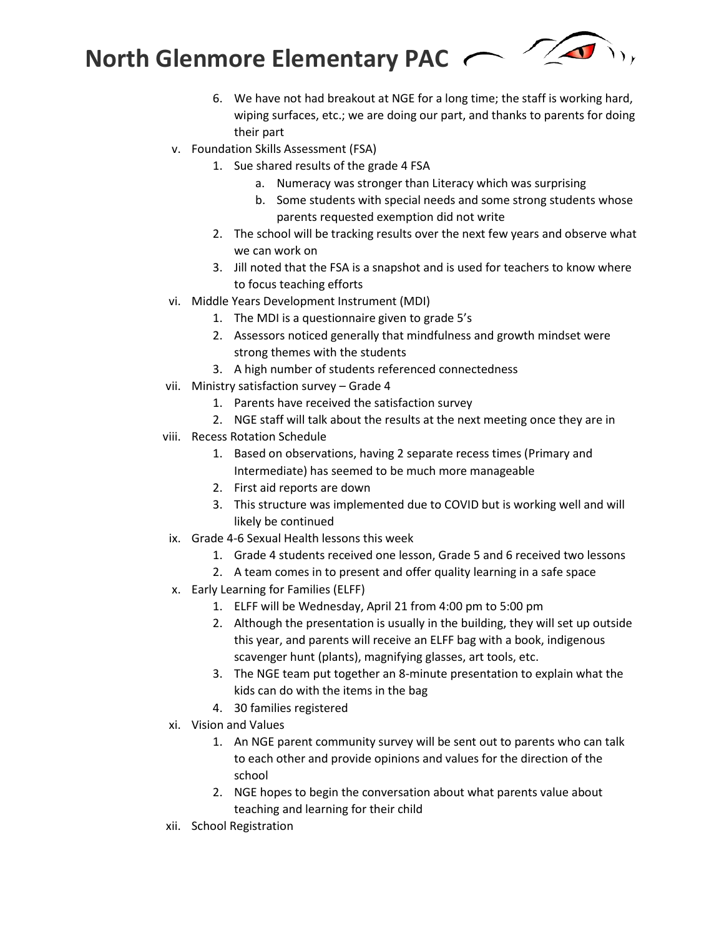

- 6. We have not had breakout at NGE for a long time; the staff is working hard, wiping surfaces, etc.; we are doing our part, and thanks to parents for doing their part
- v. Foundation Skills Assessment (FSA)
	- 1. Sue shared results of the grade 4 FSA
		- a. Numeracy was stronger than Literacy which was surprising
		- b. Some students with special needs and some strong students whose parents requested exemption did not write
	- 2. The school will be tracking results over the next few years and observe what we can work on
	- 3. Jill noted that the FSA is a snapshot and is used for teachers to know where to focus teaching efforts
- vi. Middle Years Development Instrument (MDI)
	- 1. The MDI is a questionnaire given to grade 5's
	- 2. Assessors noticed generally that mindfulness and growth mindset were strong themes with the students
	- 3. A high number of students referenced connectedness
- vii. Ministry satisfaction survey Grade 4
	- 1. Parents have received the satisfaction survey
	- 2. NGE staff will talk about the results at the next meeting once they are in
- viii. Recess Rotation Schedule
	- 1. Based on observations, having 2 separate recess times (Primary and Intermediate) has seemed to be much more manageable
	- 2. First aid reports are down
	- 3. This structure was implemented due to COVID but is working well and will likely be continued
- ix. Grade 4-6 Sexual Health lessons this week
	- 1. Grade 4 students received one lesson, Grade 5 and 6 received two lessons
	- 2. A team comes in to present and offer quality learning in a safe space
- x. Early Learning for Families (ELFF)
	- 1. ELFF will be Wednesday, April 21 from 4:00 pm to 5:00 pm
	- 2. Although the presentation is usually in the building, they will set up outside this year, and parents will receive an ELFF bag with a book, indigenous scavenger hunt (plants), magnifying glasses, art tools, etc.
	- 3. The NGE team put together an 8-minute presentation to explain what the kids can do with the items in the bag
	- 4. 30 families registered
- xi. Vision and Values
	- 1. An NGE parent community survey will be sent out to parents who can talk to each other and provide opinions and values for the direction of the school
	- 2. NGE hopes to begin the conversation about what parents value about teaching and learning for their child
- xii. School Registration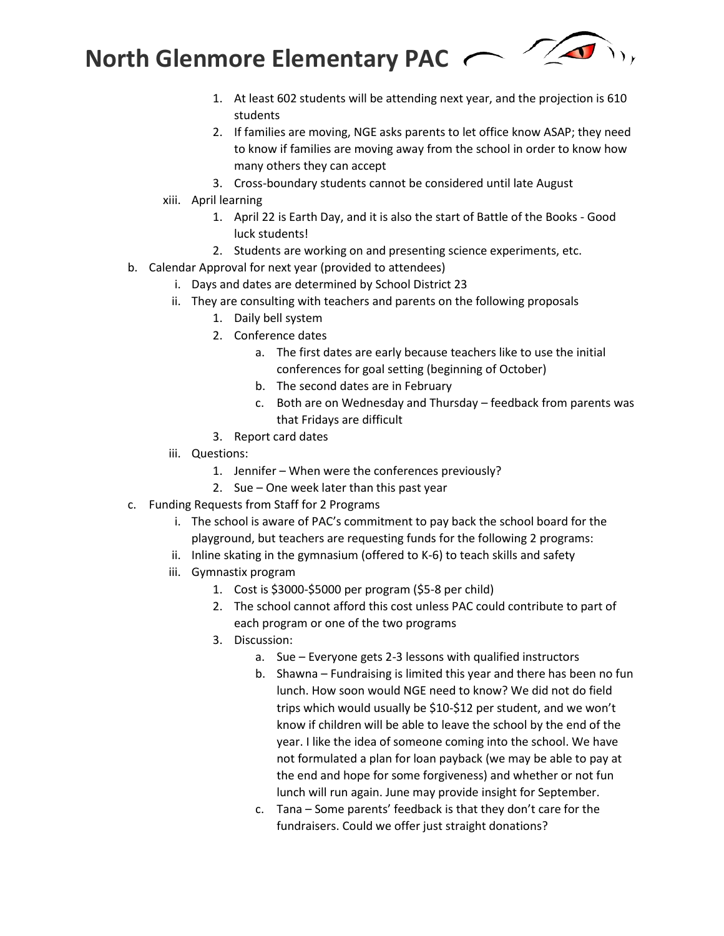

- 1. At least 602 students will be attending next year, and the projection is 610 students
- 2. If families are moving, NGE asks parents to let office know ASAP; they need to know if families are moving away from the school in order to know how many others they can accept
- 3. Cross-boundary students cannot be considered until late August
- xiii. April learning
	- 1. April 22 is Earth Day, and it is also the start of Battle of the Books Good luck students!
	- 2. Students are working on and presenting science experiments, etc.
- b. Calendar Approval for next year (provided to attendees)
	- i. Days and dates are determined by School District 23
	- ii. They are consulting with teachers and parents on the following proposals
		- 1. Daily bell system
		- 2. Conference dates
			- a. The first dates are early because teachers like to use the initial conferences for goal setting (beginning of October)
			- b. The second dates are in February
			- c. Both are on Wednesday and Thursday feedback from parents was that Fridays are difficult
		- 3. Report card dates
	- iii. Questions:
		- 1. Jennifer When were the conferences previously?
		- 2. Sue One week later than this past year
- c. Funding Requests from Staff for 2 Programs
	- i. The school is aware of PAC's commitment to pay back the school board for the playground, but teachers are requesting funds for the following 2 programs:
	- ii. Inline skating in the gymnasium (offered to K-6) to teach skills and safety
	- iii. Gymnastix program
		- 1. Cost is \$3000-\$5000 per program (\$5-8 per child)
		- 2. The school cannot afford this cost unless PAC could contribute to part of each program or one of the two programs
		- 3. Discussion:
			- a. Sue Everyone gets 2-3 lessons with qualified instructors
			- b. Shawna Fundraising is limited this year and there has been no fun lunch. How soon would NGE need to know? We did not do field trips which would usually be \$10-\$12 per student, and we won't know if children will be able to leave the school by the end of the year. I like the idea of someone coming into the school. We have not formulated a plan for loan payback (we may be able to pay at the end and hope for some forgiveness) and whether or not fun lunch will run again. June may provide insight for September.
			- c. Tana Some parents' feedback is that they don't care for the fundraisers. Could we offer just straight donations?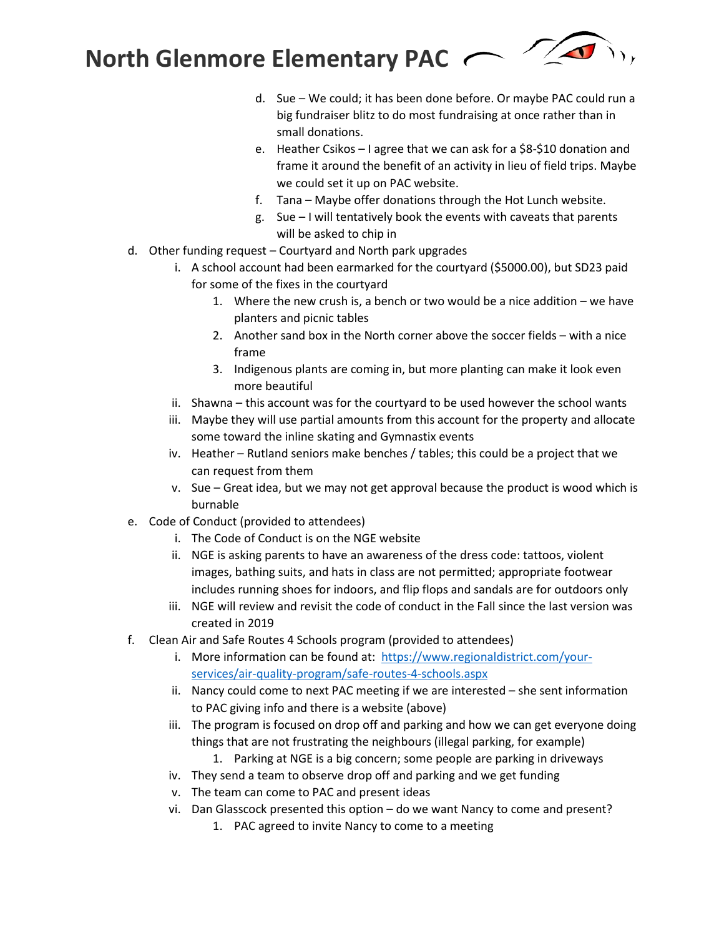- d. Sue We could; it has been done before. Or maybe PAC could run a big fundraiser blitz to do most fundraising at once rather than in small donations.
- e. Heather Csikos I agree that we can ask for a \$8-\$10 donation and frame it around the benefit of an activity in lieu of field trips. Maybe we could set it up on PAC website.
- f. Tana Maybe offer donations through the Hot Lunch website.
- g. Sue I will tentatively book the events with caveats that parents will be asked to chip in
- d. Other funding request Courtyard and North park upgrades
	- i. A school account had been earmarked for the courtyard (\$5000.00), but SD23 paid for some of the fixes in the courtyard
		- 1. Where the new crush is, a bench or two would be a nice addition we have planters and picnic tables
		- 2. Another sand box in the North corner above the soccer fields with a nice frame
		- 3. Indigenous plants are coming in, but more planting can make it look even more beautiful
	- ii. Shawna this account was for the courtyard to be used however the school wants
	- iii. Maybe they will use partial amounts from this account for the property and allocate some toward the inline skating and Gymnastix events
	- iv. Heather Rutland seniors make benches / tables; this could be a project that we can request from them
	- v. Sue Great idea, but we may not get approval because the product is wood which is burnable
- e. Code of Conduct (provided to attendees)
	- i. The Code of Conduct is on the NGE website
	- ii. NGE is asking parents to have an awareness of the dress code: tattoos, violent images, bathing suits, and hats in class are not permitted; appropriate footwear includes running shoes for indoors, and flip flops and sandals are for outdoors only
	- iii. NGE will review and revisit the code of conduct in the Fall since the last version was created in 2019
- f. Clean Air and Safe Routes 4 Schools program (provided to attendees)
	- i. More information can be found at: [https://www.regionaldistrict.com/your](https://can01.safelinks.protection.outlook.com/?url=https%3A%2F%2Fwww.regionaldistrict.com%2Fyour-services%2Fair-quality-program%2Fsafe-routes-4-schools.aspx&data=04%7C01%7CNge.PacPresident%40sd23.bc.ca%7C225c236d77274090272808d9044ce6f5%7Ca88c6e7e8efc4bc7956fe8170457f178%7C0%7C0%7C637545551393612127%7CUnknown%7CTWFpbGZsb3d8eyJWIjoiMC4wLjAwMDAiLCJQIjoiV2luMzIiLCJBTiI6Ik1haWwiLCJXVCI6Mn0%3D%7C1000&sdata=nJsPgy4wNjHnfMOb48LhtRsgj2FKO8d9U2kQvfBfd6U%3D&reserved=0)[services/air-quality-program/safe-routes-4-schools.aspx](https://can01.safelinks.protection.outlook.com/?url=https%3A%2F%2Fwww.regionaldistrict.com%2Fyour-services%2Fair-quality-program%2Fsafe-routes-4-schools.aspx&data=04%7C01%7CNge.PacPresident%40sd23.bc.ca%7C225c236d77274090272808d9044ce6f5%7Ca88c6e7e8efc4bc7956fe8170457f178%7C0%7C0%7C637545551393612127%7CUnknown%7CTWFpbGZsb3d8eyJWIjoiMC4wLjAwMDAiLCJQIjoiV2luMzIiLCJBTiI6Ik1haWwiLCJXVCI6Mn0%3D%7C1000&sdata=nJsPgy4wNjHnfMOb48LhtRsgj2FKO8d9U2kQvfBfd6U%3D&reserved=0)
	- ii. Nancy could come to next PAC meeting if we are interested she sent information to PAC giving info and there is a website (above)
	- iii. The program is focused on drop off and parking and how we can get everyone doing things that are not frustrating the neighbours (illegal parking, for example)
		- 1. Parking at NGE is a big concern; some people are parking in driveways
	- iv. They send a team to observe drop off and parking and we get funding
	- v. The team can come to PAC and present ideas
	- vi. Dan Glasscock presented this option do we want Nancy to come and present?
		- 1. PAC agreed to invite Nancy to come to a meeting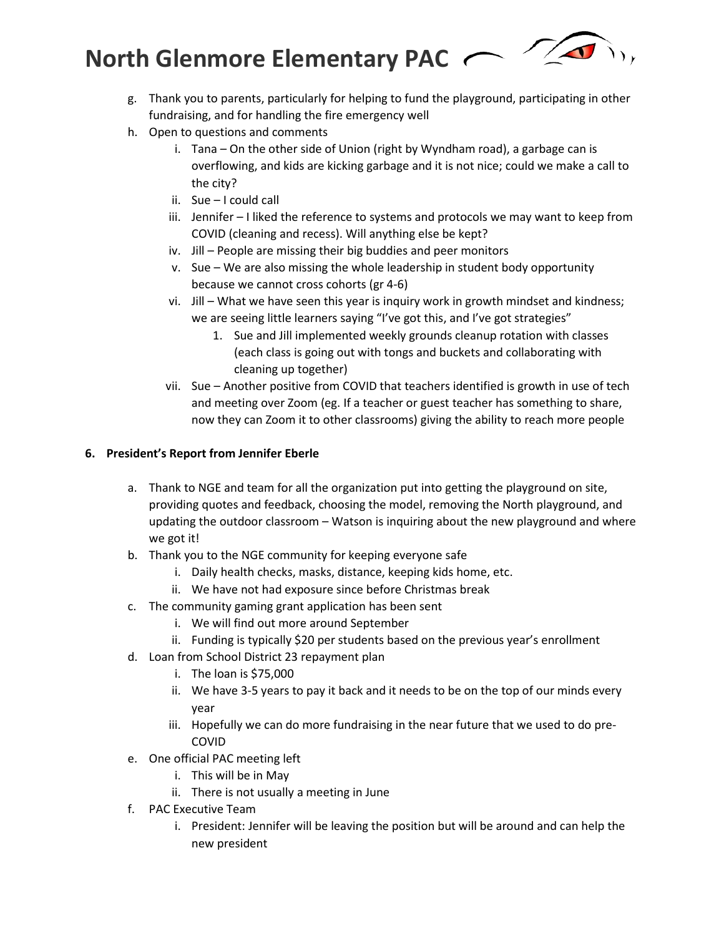

- g. Thank you to parents, particularly for helping to fund the playground, participating in other fundraising, and for handling the fire emergency well
- h. Open to questions and comments
	- i. Tana On the other side of Union (right by Wyndham road), a garbage can is overflowing, and kids are kicking garbage and it is not nice; could we make a call to the city?
	- ii. Sue I could call
	- iii. Jennifer I liked the reference to systems and protocols we may want to keep from COVID (cleaning and recess). Will anything else be kept?
	- iv. Jill People are missing their big buddies and peer monitors
	- v. Sue We are also missing the whole leadership in student body opportunity because we cannot cross cohorts (gr 4-6)
	- vi. Jill What we have seen this year is inquiry work in growth mindset and kindness; we are seeing little learners saying "I've got this, and I've got strategies"
		- 1. Sue and Jill implemented weekly grounds cleanup rotation with classes (each class is going out with tongs and buckets and collaborating with cleaning up together)
	- vii. Sue Another positive from COVID that teachers identified is growth in use of tech and meeting over Zoom (eg. If a teacher or guest teacher has something to share, now they can Zoom it to other classrooms) giving the ability to reach more people

# **6. President's Report from Jennifer Eberle**

- a. Thank to NGE and team for all the organization put into getting the playground on site, providing quotes and feedback, choosing the model, removing the North playground, and updating the outdoor classroom – Watson is inquiring about the new playground and where we got it!
- b. Thank you to the NGE community for keeping everyone safe
	- i. Daily health checks, masks, distance, keeping kids home, etc.
	- ii. We have not had exposure since before Christmas break
- c. The community gaming grant application has been sent
	- i. We will find out more around September
	- ii. Funding is typically \$20 per students based on the previous year's enrollment
- d. Loan from School District 23 repayment plan
	- i. The loan is \$75,000
	- ii. We have 3-5 years to pay it back and it needs to be on the top of our minds every year
	- iii. Hopefully we can do more fundraising in the near future that we used to do pre-COVID
- e. One official PAC meeting left
	- i. This will be in May
		- ii. There is not usually a meeting in June
- f. PAC Executive Team
	- i. President: Jennifer will be leaving the position but will be around and can help the new president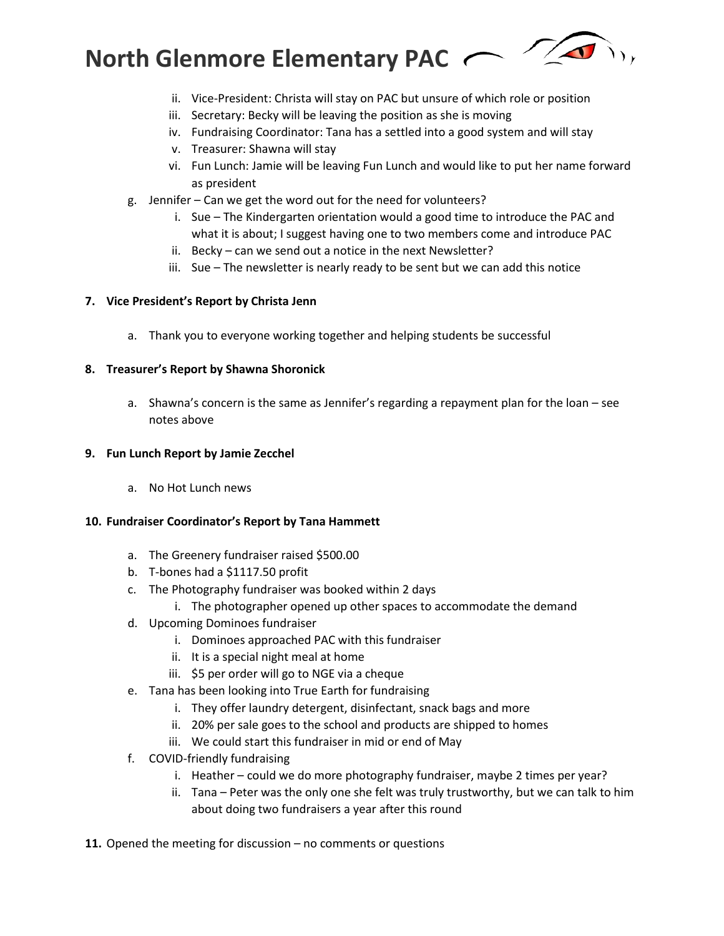- ii. Vice-President: Christa will stay on PAC but unsure of which role or position
- iii. Secretary: Becky will be leaving the position as she is moving
- iv. Fundraising Coordinator: Tana has a settled into a good system and will stay
- v. Treasurer: Shawna will stay
- vi. Fun Lunch: Jamie will be leaving Fun Lunch and would like to put her name forward as president
- g. Jennifer Can we get the word out for the need for volunteers?
	- i. Sue The Kindergarten orientation would a good time to introduce the PAC and what it is about; I suggest having one to two members come and introduce PAC
	- ii. Becky can we send out a notice in the next Newsletter?
	- iii. Sue The newsletter is nearly ready to be sent but we can add this notice

# **7. Vice President's Report by Christa Jenn**

a. Thank you to everyone working together and helping students be successful

## **8. Treasurer's Report by Shawna Shoronick**

a. Shawna's concern is the same as Jennifer's regarding a repayment plan for the loan – see notes above

### **9. Fun Lunch Report by Jamie Zecchel**

a. No Hot Lunch news

### **10. Fundraiser Coordinator's Report by Tana Hammett**

- a. The Greenery fundraiser raised \$500.00
- b. T-bones had a \$1117.50 profit
- c. The Photography fundraiser was booked within 2 days
	- i. The photographer opened up other spaces to accommodate the demand
- d. Upcoming Dominoes fundraiser
	- i. Dominoes approached PAC with this fundraiser
	- ii. It is a special night meal at home
	- iii. \$5 per order will go to NGE via a cheque
- e. Tana has been looking into True Earth for fundraising
	- i. They offer laundry detergent, disinfectant, snack bags and more
	- ii. 20% per sale goes to the school and products are shipped to homes
	- iii. We could start this fundraiser in mid or end of May
- f. COVID-friendly fundraising
	- i. Heather could we do more photography fundraiser, maybe 2 times per year?
	- ii. Tana Peter was the only one she felt was truly trustworthy, but we can talk to him about doing two fundraisers a year after this round
- **11.** Opened the meeting for discussion no comments or questions